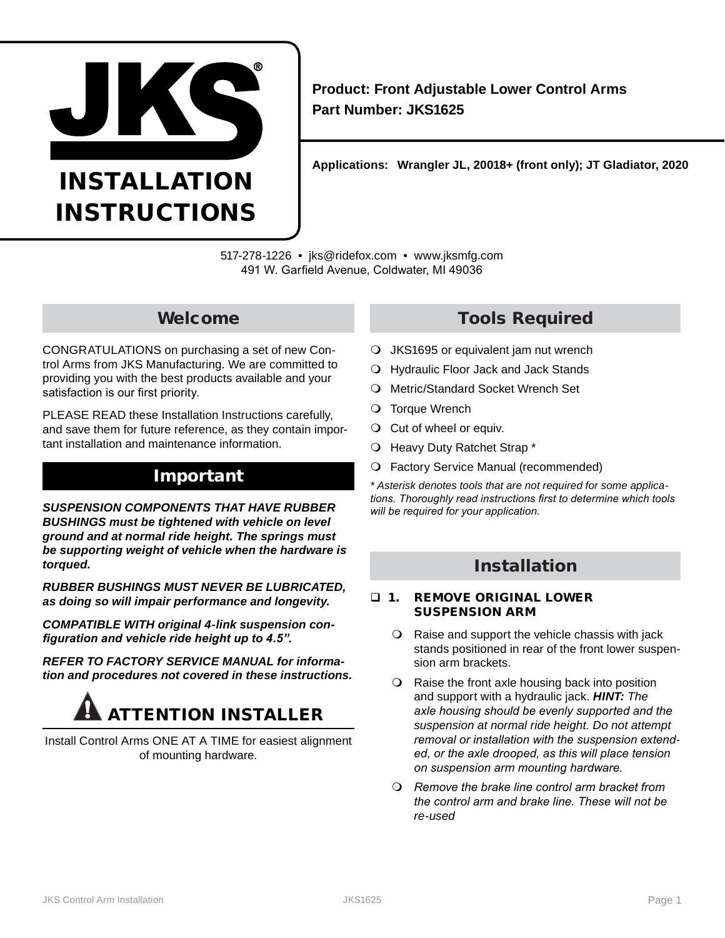

# INSTALLATION INSTRUCTIONS

**Product: Front Adjustable Lower Control Arms Part Number: JKS1625**

**Applications: Wrangler JL, 20018+ (front only); JT Gladiator, 2020**

517-278-1226 • jks@ridefox.com • www.jksmfg.com 491 W. Garfield Avenue, Coldwater, MI 49036

## Welcome

CONGRATULATIONS on purchasing a set of new Control Arms from JKS Manufacturing. We are committed to providing you with the best products available and your satisfaction is our first priority.

PLEASE READ these Installation Instructions carefully, and save them for future reference, as they contain important installation and maintenance information.

## Important

*SUSPENSION COMPONENTS THAT HAVE RUBBER BUSHINGS must be tightened with vehicle on level ground and at normal ride height. The springs must be supporting weight of vehicle when the hardware is torqued.*

*RUBBER BUSHINGS MUST NEVER BE LUBRICATED, as doing so will impair performance and longevity.*

*COMPATIBLE WITH original 4-link suspension configuration and vehicle ride height up to 4.5".*

*REFER TO FACTORY SERVICE MANUAL for information and procedures not covered in these instructions.*

# ATTENTION INSTALLER

Install Control Arms ONE AT A TIME for easiest alignment of mounting hardware.

# Tools Required

- JKS1695 or equivalent jam nut wrench
- Hydraulic Floor Jack and Jack Stands
- O Metric/Standard Socket Wrench Set
- O Torque Wrench
- O Cut of wheel or equiv.
- O Heavy Duty Ratchet Strap \*
- Factory Service Manual (recommended)

*\* Asterisk denotes tools that are not required for some applications. Thoroughly read instructions first to determine which tools will be required for your application.*

# Installation

#### **1. REMOVE ORIGINAL LOWER** SUSPENSION ARM

- $\Omega$  Raise and support the vehicle chassis with jack stands positioned in rear of the front lower suspension arm brackets.
- O Raise the front axle housing back into position and support with a hydraulic jack. *HINT: The axle housing should be evenly supported and the suspension at normal ride height. Do not attempt removal or installation with the suspension extended, or the axle drooped, as this will place tension on suspension arm mounting hardware.*
- *Remove the brake line control arm bracket from the control arm and brake line. These will not be re-used*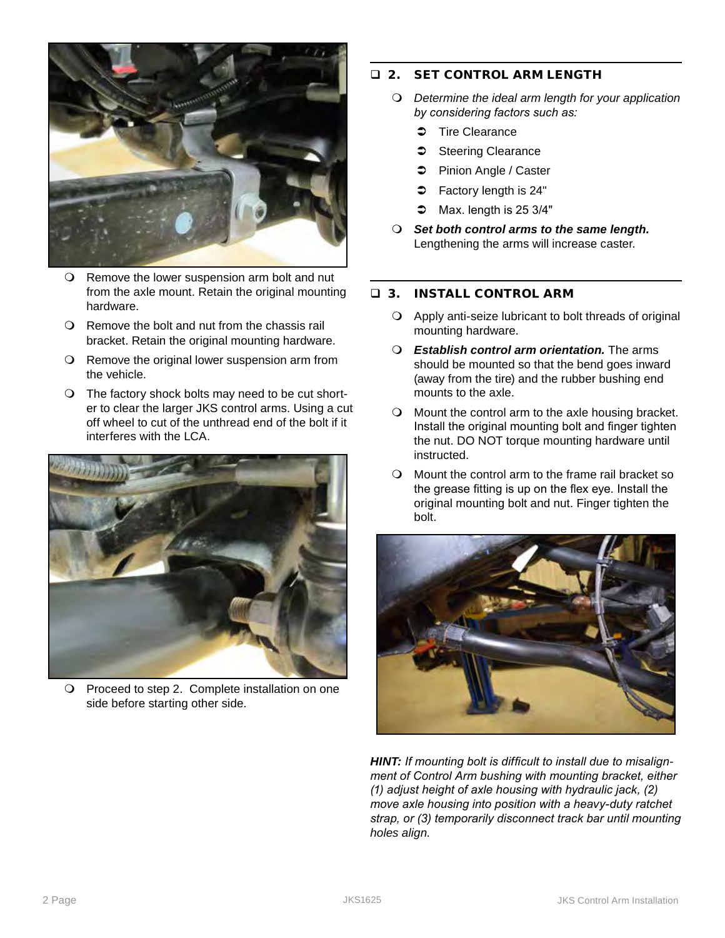

- Remove the lower suspension arm bolt and nut from the axle mount. Retain the original mounting hardware.
- Remove the bolt and nut from the chassis rail bracket. Retain the original mounting hardware.
- O Remove the original lower suspension arm from the vehicle.
- The factory shock bolts may need to be cut shorter to clear the larger JKS control arms. Using a cut off wheel to cut of the unthread end of the bolt if it interferes with the LCA.



O Proceed to step 2. Complete installation on one side before starting other side.

## **2. SET CONTROL ARM LENGTH**

- *Determine the ideal arm length for your application by considering factors such as:*
	- $\Rightarrow$  Tire Clearance
	- Steering Clearance
	- **Caster** Pinion Angle / Caster
	- $\Rightarrow$  Factory length is 24"
	- $\bullet$  Max. length is 25 3/4"
- *Set both control arms to the same length.* Lengthening the arms will increase caster.

## 3. INSTALL CONTROL ARM

- Apply anti-seize lubricant to bolt threads of original mounting hardware.
- *Establish control arm orientation.* The arms should be mounted so that the bend goes inward (away from the tire) and the rubber bushing end mounts to the axle.
- Mount the control arm to the axle housing bracket. Install the original mounting bolt and finger tighten the nut. DO NOT torque mounting hardware until instructed.
- Mount the control arm to the frame rail bracket so the grease fitting is up on the flex eye. Install the original mounting bolt and nut. Finger tighten the bolt.



*HINT: If mounting bolt is difficult to install due to misalignment of Control Arm bushing with mounting bracket, either (1) adjust height of axle housing with hydraulic jack, (2) move axle housing into position with a heavy-duty ratchet strap, or (3) temporarily disconnect track bar until mounting holes align.*